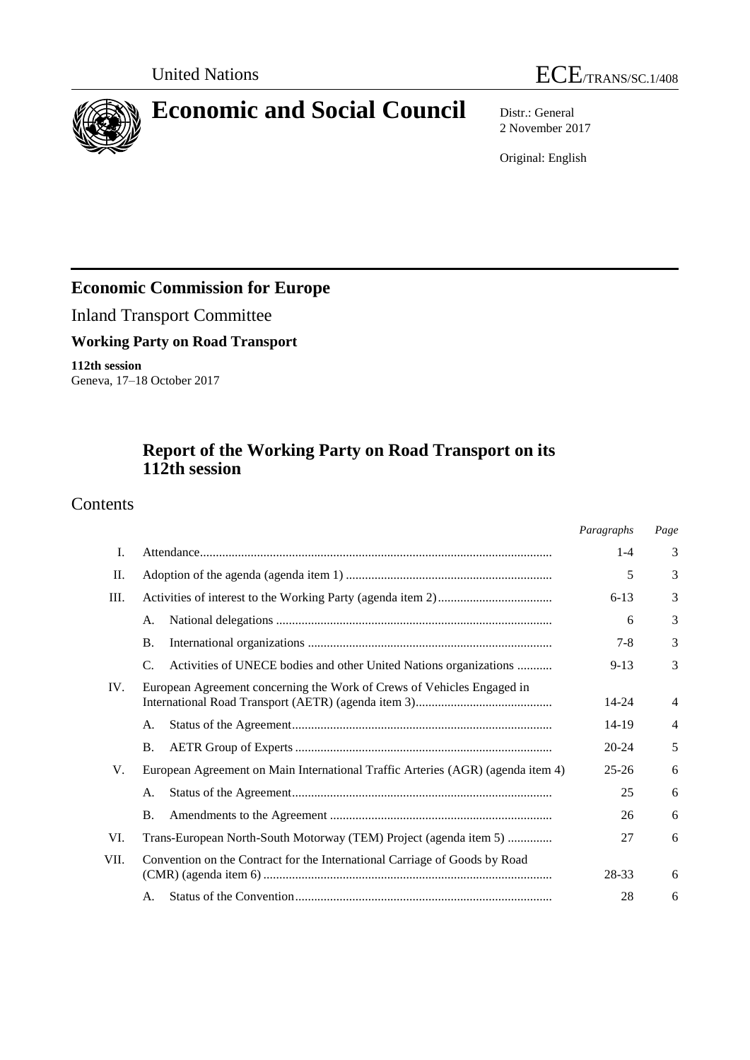



# **Economic and Social Council** Distr.: General

2 November 2017

Original: English

# **Economic Commission for Europe**

Inland Transport Committee

**Working Party on Road Transport**

**112th session** Geneva, 17–18 October 2017

# **Report of the Working Party on Road Transport on its 112th session**

# Contents

|      |                                                                                 | Paragraphs | Page |
|------|---------------------------------------------------------------------------------|------------|------|
| I.   |                                                                                 | $1-4$      | 3    |
| П.   |                                                                                 | 5          | 3    |
| Ш.   |                                                                                 | $6 - 13$   | 3    |
|      | А.                                                                              | 6          | 3    |
|      | <b>B.</b>                                                                       | $7 - 8$    | 3    |
|      | Activities of UNECE bodies and other United Nations organizations<br>C.         | $9 - 13$   | 3    |
| IV.  | European Agreement concerning the Work of Crews of Vehicles Engaged in          | 14-24      | 4    |
|      | A.                                                                              | 14-19      | 4    |
|      | <b>B.</b>                                                                       | $20 - 24$  | 5    |
| V.   | European Agreement on Main International Traffic Arteries (AGR) (agenda item 4) | $25 - 26$  | 6    |
|      | A.                                                                              | 25         | 6    |
|      | <b>B.</b>                                                                       | 26         | 6    |
| VI.  | Trans-European North-South Motorway (TEM) Project (agenda item 5)               | 27         | 6    |
| VII. | Convention on the Contract for the International Carriage of Goods by Road      | 28-33      | 6    |
|      | A.                                                                              | 28         | 6    |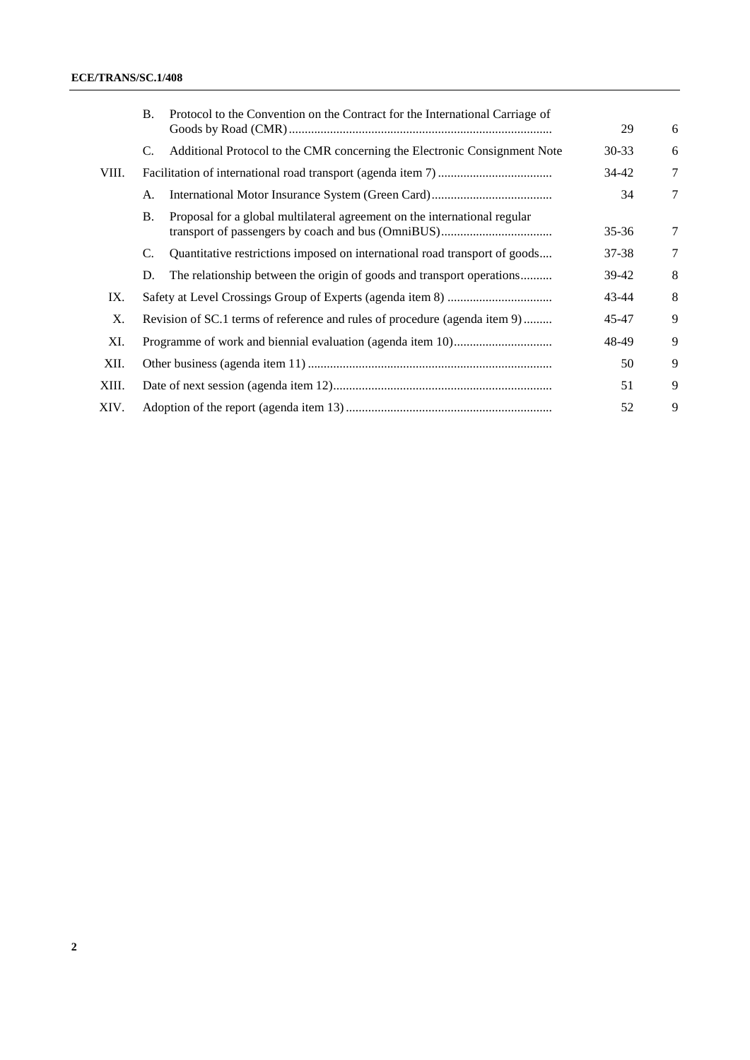|       | <b>B.</b>                                                                  | Protocol to the Convention on the Contract for the International Carriage of | 29        | 6              |
|-------|----------------------------------------------------------------------------|------------------------------------------------------------------------------|-----------|----------------|
|       | C.                                                                         | Additional Protocol to the CMR concerning the Electronic Consignment Note    | $30 - 33$ | 6              |
| VIII. |                                                                            |                                                                              | 34-42     | 7              |
|       | A.                                                                         |                                                                              | 34        | $\overline{7}$ |
|       | <b>B.</b>                                                                  | Proposal for a global multilateral agreement on the international regular    | 35-36     | $\overline{7}$ |
|       | C.                                                                         | Quantitative restrictions imposed on international road transport of goods   | 37-38     | $\overline{7}$ |
|       | D.                                                                         | The relationship between the origin of goods and transport operations        | 39-42     | 8              |
| IX.   |                                                                            |                                                                              | 43-44     | 8              |
| X.    | Revision of SC.1 terms of reference and rules of procedure (agenda item 9) |                                                                              |           | 9              |
| XI.   |                                                                            |                                                                              | 48-49     | 9              |
| XII.  |                                                                            |                                                                              | 50        | 9              |
| XIII. |                                                                            | 51                                                                           |           |                |
| XIV.  |                                                                            |                                                                              | 52        | 9              |
|       |                                                                            |                                                                              |           |                |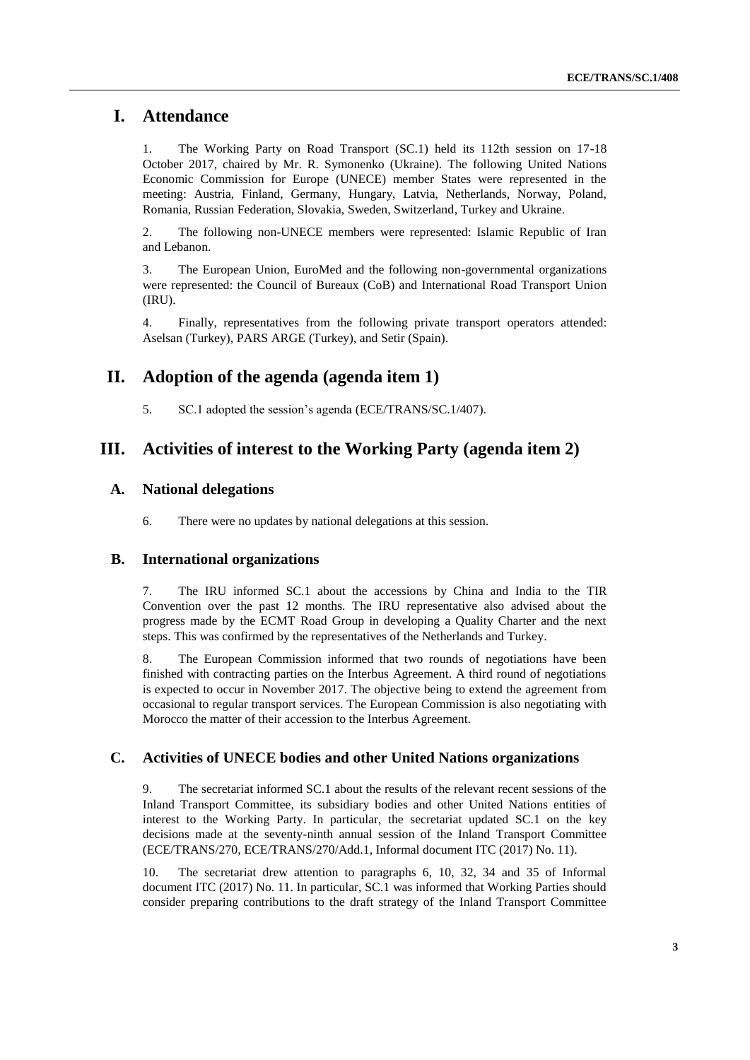### **I. Attendance**

1. The Working Party on Road Transport (SC.1) held its 112th session on 17-18 October 2017, chaired by Mr. R. Symonenko (Ukraine). The following United Nations Economic Commission for Europe (UNECE) member States were represented in the meeting: Austria, Finland, Germany, Hungary, Latvia, Netherlands, Norway, Poland, Romania, Russian Federation, Slovakia, Sweden, Switzerland, Turkey and Ukraine.

2. The following non-UNECE members were represented: Islamic Republic of Iran and Lebanon.

3. The European Union, EuroMed and the following non-governmental organizations were represented: the Council of Bureaux (CoB) and International Road Transport Union (IRU).

4. Finally, representatives from the following private transport operators attended: Aselsan (Turkey), PARS ARGE (Turkey), and Setir (Spain).

### **II. Adoption of the agenda (agenda item 1)**

5. SC.1 adopted the session's agenda (ECE/TRANS/SC.1/407).

### **III. Activities of interest to the Working Party (agenda item 2)**

#### **A. National delegations**

6. There were no updates by national delegations at this session.

#### **B. International organizations**

7. The IRU informed SC.1 about the accessions by China and India to the TIR Convention over the past 12 months. The IRU representative also advised about the progress made by the ECMT Road Group in developing a Quality Charter and the next steps. This was confirmed by the representatives of the Netherlands and Turkey.

8. The European Commission informed that two rounds of negotiations have been finished with contracting parties on the Interbus Agreement. A third round of negotiations is expected to occur in November 2017. The objective being to extend the agreement from occasional to regular transport services. The European Commission is also negotiating with Morocco the matter of their accession to the Interbus Agreement.

#### **C. Activities of UNECE bodies and other United Nations organizations**

9. The secretariat informed SC.1 about the results of the relevant recent sessions of the Inland Transport Committee, its subsidiary bodies and other United Nations entities of interest to the Working Party. In particular, the secretariat updated SC.1 on the key decisions made at the seventy-ninth annual session of the Inland Transport Committee (ECE/TRANS/270, ECE/TRANS/270/Add.1, Informal document ITC (2017) No. 11).

10. The secretariat drew attention to paragraphs 6, 10, 32, 34 and 35 of Informal document ITC (2017) No. 11. In particular, SC.1 was informed that Working Parties should consider preparing contributions to the draft strategy of the Inland Transport Committee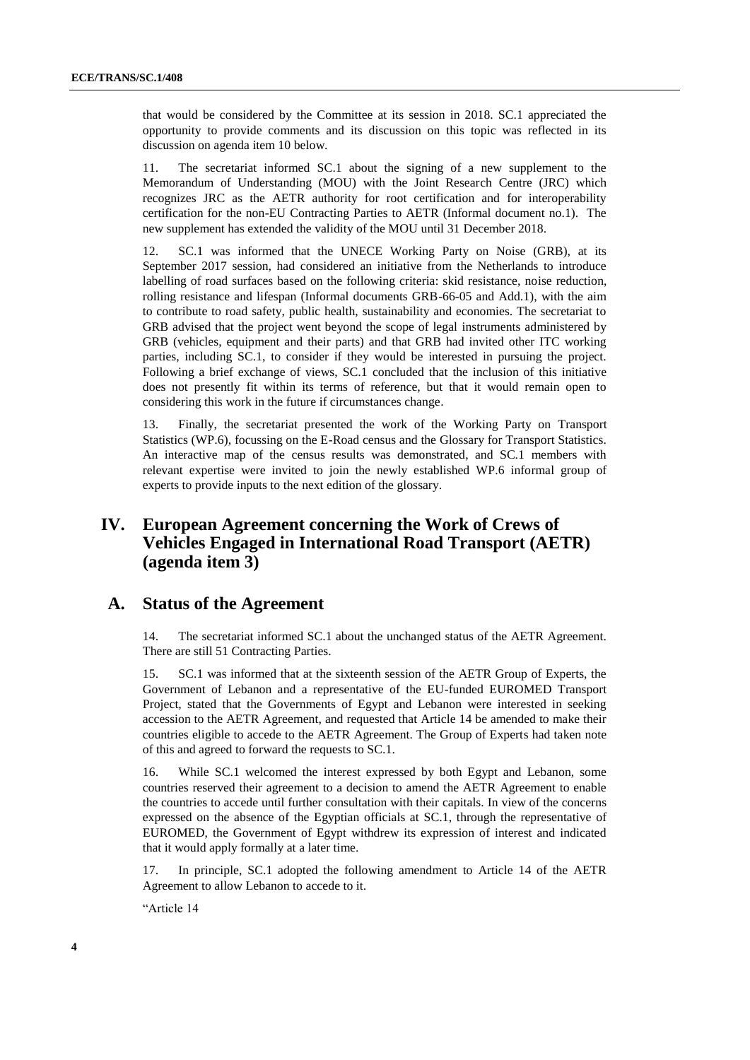that would be considered by the Committee at its session in 2018. SC.1 appreciated the opportunity to provide comments and its discussion on this topic was reflected in its discussion on agenda item 10 below.

11. The secretariat informed SC.1 about the signing of a new supplement to the Memorandum of Understanding (MOU) with the Joint Research Centre (JRC) which recognizes JRC as the AETR authority for root certification and for interoperability certification for the non-EU Contracting Parties to AETR (Informal document no.1). The new supplement has extended the validity of the MOU until 31 December 2018.

SC.1 was informed that the UNECE Working Party on Noise (GRB), at its September 2017 session, had considered an initiative from the Netherlands to introduce labelling of road surfaces based on the following criteria: skid resistance, noise reduction, rolling resistance and lifespan (Informal documents GRB-66-05 and Add.1), with the aim to contribute to road safety, public health, sustainability and economies. The secretariat to GRB advised that the project went beyond the scope of legal instruments administered by GRB (vehicles, equipment and their parts) and that GRB had invited other ITC working parties, including SC.1, to consider if they would be interested in pursuing the project. Following a brief exchange of views, SC.1 concluded that the inclusion of this initiative does not presently fit within its terms of reference, but that it would remain open to considering this work in the future if circumstances change.

13. Finally, the secretariat presented the work of the Working Party on Transport Statistics (WP.6), focussing on the E-Road census and the Glossary for Transport Statistics. An interactive map of the census results was demonstrated, and SC.1 members with relevant expertise were invited to join the newly established WP.6 informal group of experts to provide inputs to the next edition of the glossary.

# **IV. European Agreement concerning the Work of Crews of Vehicles Engaged in International Road Transport (AETR) (agenda item 3)**

### **A. Status of the Agreement**

14. The secretariat informed SC.1 about the unchanged status of the AETR Agreement. There are still 51 Contracting Parties.

15. SC.1 was informed that at the sixteenth session of the AETR Group of Experts, the Government of Lebanon and a representative of the EU-funded EUROMED Transport Project, stated that the Governments of Egypt and Lebanon were interested in seeking accession to the AETR Agreement, and requested that Article 14 be amended to make their countries eligible to accede to the AETR Agreement. The Group of Experts had taken note of this and agreed to forward the requests to SC.1.

16. While SC.1 welcomed the interest expressed by both Egypt and Lebanon, some countries reserved their agreement to a decision to amend the AETR Agreement to enable the countries to accede until further consultation with their capitals. In view of the concerns expressed on the absence of the Egyptian officials at SC.1, through the representative of EUROMED, the Government of Egypt withdrew its expression of interest and indicated that it would apply formally at a later time.

17. In principle, SC.1 adopted the following amendment to Article 14 of the AETR Agreement to allow Lebanon to accede to it.

"Article 14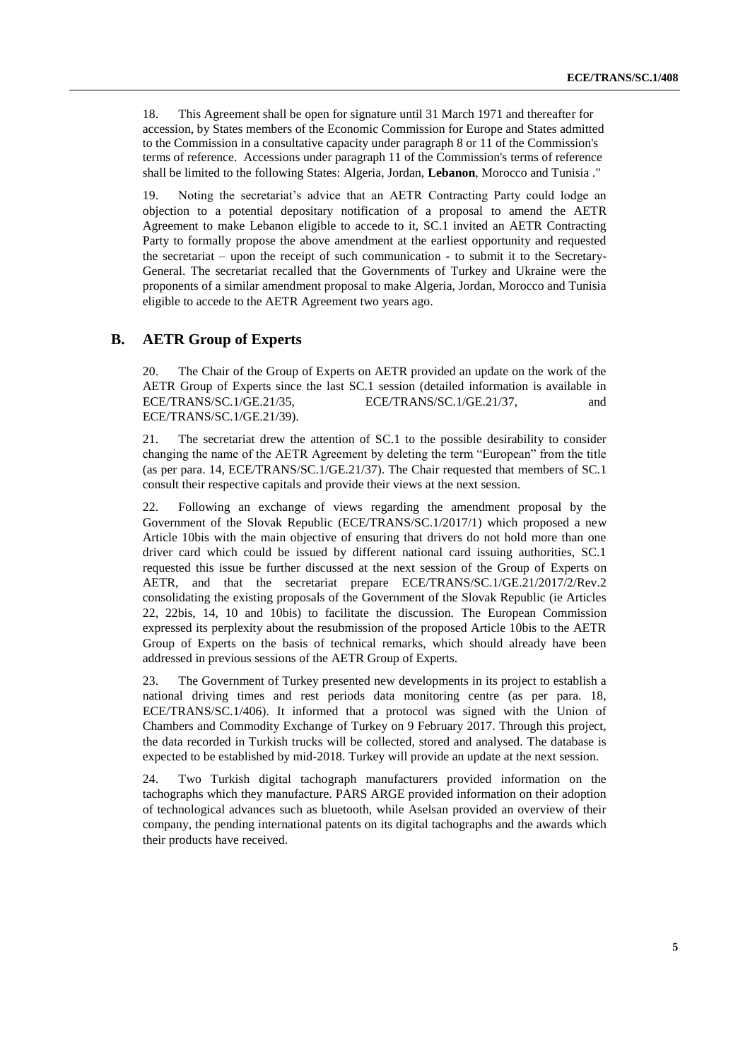18. This Agreement shall be open for signature until 31 March 1971 and thereafter for accession, by States members of the Economic Commission for Europe and States admitted to the Commission in a consultative capacity under paragraph 8 or 11 of the Commission's terms of reference. Accessions under paragraph 11 of the Commission's terms of reference shall be limited to the following States: Algeria, Jordan, **Lebanon**, Morocco and Tunisia ."

19. Noting the secretariat's advice that an AETR Contracting Party could lodge an objection to a potential depositary notification of a proposal to amend the AETR Agreement to make Lebanon eligible to accede to it, SC.1 invited an AETR Contracting Party to formally propose the above amendment at the earliest opportunity and requested the secretariat – upon the receipt of such communication - to submit it to the Secretary-General. The secretariat recalled that the Governments of Turkey and Ukraine were the proponents of a similar amendment proposal to make Algeria, Jordan, Morocco and Tunisia eligible to accede to the AETR Agreement two years ago.

### **B. AETR Group of Experts**

20. The Chair of the Group of Experts on AETR provided an update on the work of the AETR Group of Experts since the last SC.1 session (detailed information is available in ECE/TRANS/SC.1/GE.21/35, ECE/TRANS/SC.1/GE.21/37, and ECE/TRANS/SC.1/GE.21/39).

21. The secretariat drew the attention of SC.1 to the possible desirability to consider changing the name of the AETR Agreement by deleting the term "European" from the title (as per para. 14, ECE/TRANS/SC.1/GE.21/37). The Chair requested that members of SC.1 consult their respective capitals and provide their views at the next session.

22. Following an exchange of views regarding the amendment proposal by the Government of the Slovak Republic (ECE/TRANS/SC.1/2017/1) which proposed a new Article 10bis with the main objective of ensuring that drivers do not hold more than one driver card which could be issued by different national card issuing authorities, SC.1 requested this issue be further discussed at the next session of the Group of Experts on AETR, and that the secretariat prepare ECE/TRANS/SC.1/GE.21/2017/2/Rev.2 consolidating the existing proposals of the Government of the Slovak Republic (ie Articles 22, 22bis, 14, 10 and 10bis) to facilitate the discussion. The European Commission expressed its perplexity about the resubmission of the proposed Article 10bis to the AETR Group of Experts on the basis of technical remarks, which should already have been addressed in previous sessions of the AETR Group of Experts.

23. The Government of Turkey presented new developments in its project to establish a national driving times and rest periods data monitoring centre (as per para. 18, ECE/TRANS/SC.1/406). It informed that a protocol was signed with the Union of Chambers and Commodity Exchange of Turkey on 9 February 2017. Through this project, the data recorded in Turkish trucks will be collected, stored and analysed. The database is expected to be established by mid-2018. Turkey will provide an update at the next session.

24. Two Turkish digital tachograph manufacturers provided information on the tachographs which they manufacture. PARS ARGE provided information on their adoption of technological advances such as bluetooth, while Aselsan provided an overview of their company, the pending international patents on its digital tachographs and the awards which their products have received.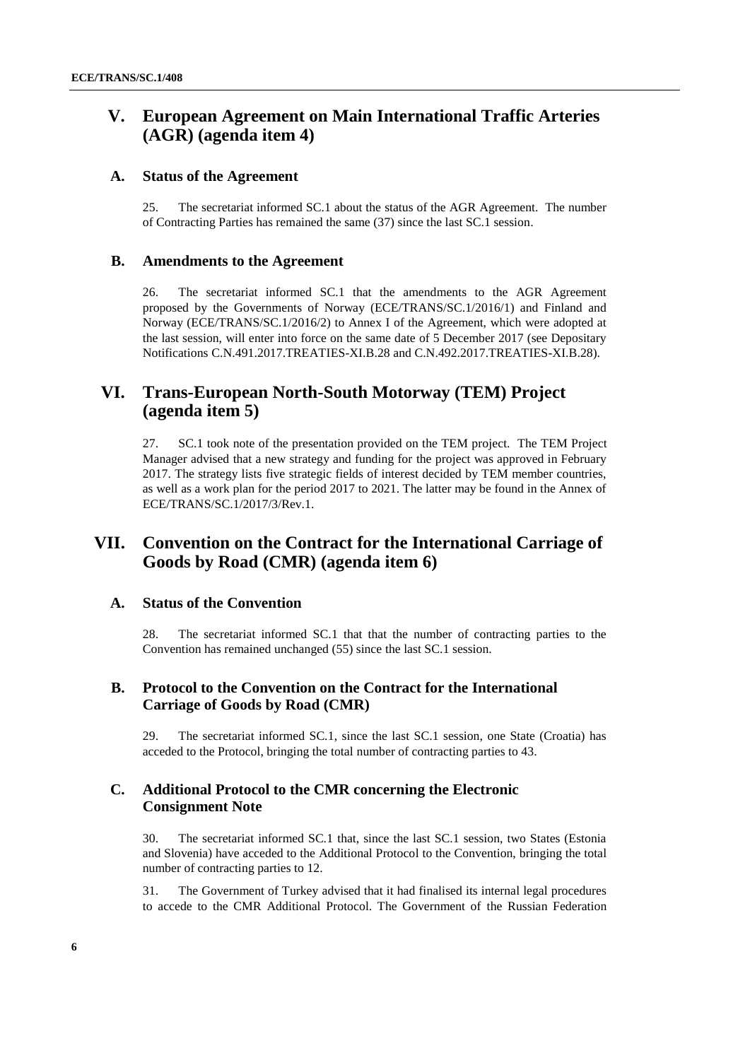# **V. European Agreement on Main International Traffic Arteries (AGR) (agenda item 4)**

#### **A. Status of the Agreement**

25. The secretariat informed SC.1 about the status of the AGR Agreement. The number of Contracting Parties has remained the same (37) since the last SC.1 session.

#### **B. Amendments to the Agreement**

26. The secretariat informed SC.1 that the amendments to the AGR Agreement proposed by the Governments of Norway (ECE/TRANS/SC.1/2016/1) and Finland and Norway (ECE/TRANS/SC.1/2016/2) to Annex I of the Agreement, which were adopted at the last session, will enter into force on the same date of 5 December 2017 (see Depositary Notifications C.N.491.2017.TREATIES-XI.B.28 and C.N.492.2017.TREATIES-XI.B.28).

# **VI. Trans-European North-South Motorway (TEM) Project (agenda item 5)**

27. SC.1 took note of the presentation provided on the TEM project. The TEM Project Manager advised that a new strategy and funding for the project was approved in February 2017. The strategy lists five strategic fields of interest decided by TEM member countries, as well as a work plan for the period 2017 to 2021. The latter may be found in the Annex of ECE/TRANS/SC.1/2017/3/Rev.1.

# **VII. Convention on the Contract for the International Carriage of Goods by Road (CMR) (agenda item 6)**

#### **A. Status of the Convention**

28. The secretariat informed SC.1 that that the number of contracting parties to the Convention has remained unchanged (55) since the last SC.1 session.

### **B. Protocol to the Convention on the Contract for the International Carriage of Goods by Road (CMR)**

29. The secretariat informed SC.1, since the last SC.1 session, one State (Croatia) has acceded to the Protocol, bringing the total number of contracting parties to 43.

#### **C. Additional Protocol to the CMR concerning the Electronic Consignment Note**

30. The secretariat informed SC.1 that, since the last SC.1 session, two States (Estonia and Slovenia) have acceded to the Additional Protocol to the Convention, bringing the total number of contracting parties to 12.

31. The Government of Turkey advised that it had finalised its internal legal procedures to accede to the CMR Additional Protocol. The Government of the Russian Federation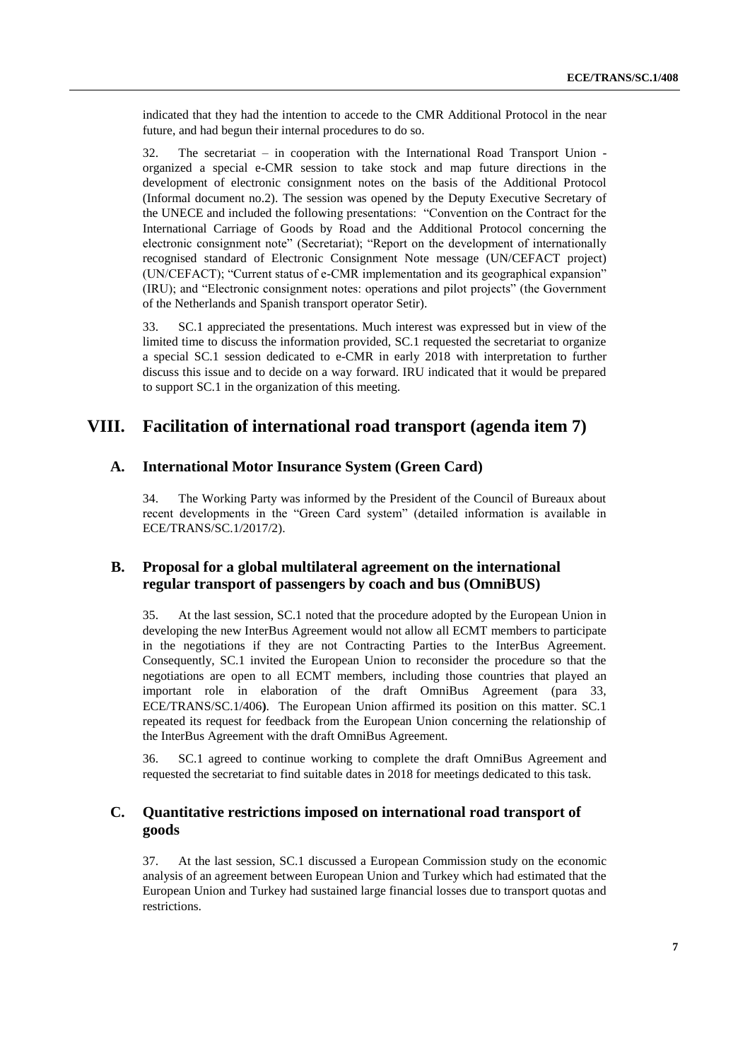indicated that they had the intention to accede to the CMR Additional Protocol in the near future, and had begun their internal procedures to do so.

32. The secretariat – in cooperation with the International Road Transport Union organized a special e-CMR session to take stock and map future directions in the development of electronic consignment notes on the basis of the Additional Protocol (Informal document no.2). The session was opened by the Deputy Executive Secretary of the UNECE and included the following presentations: "Convention on the Contract for the International Carriage of Goods by Road and the Additional Protocol concerning the electronic consignment note" (Secretariat); "Report on the development of internationally recognised standard of Electronic Consignment Note message (UN/CEFACT project) (UN/CEFACT); "Current status of e-CMR implementation and its geographical expansion" (IRU); and "Electronic consignment notes: operations and pilot projects" (the Government of the Netherlands and Spanish transport operator Setir).

33. SC.1 appreciated the presentations. Much interest was expressed but in view of the limited time to discuss the information provided, SC.1 requested the secretariat to organize a special SC.1 session dedicated to e-CMR in early 2018 with interpretation to further discuss this issue and to decide on a way forward. IRU indicated that it would be prepared to support SC.1 in the organization of this meeting.

### **VIII. Facilitation of international road transport (agenda item 7)**

#### **A. International Motor Insurance System (Green Card)**

34. The Working Party was informed by the President of the Council of Bureaux about recent developments in the "Green Card system" (detailed information is available in ECE/TRANS/SC.1/2017/2).

### **B. Proposal for a global multilateral agreement on the international regular transport of passengers by coach and bus (OmniBUS)**

35. At the last session, SC.1 noted that the procedure adopted by the European Union in developing the new InterBus Agreement would not allow all ECMT members to participate in the negotiations if they are not Contracting Parties to the InterBus Agreement. Consequently, SC.1 invited the European Union to reconsider the procedure so that the negotiations are open to all ECMT members, including those countries that played an important role in elaboration of the draft OmniBus Agreement (para 33, ECE/TRANS/SC.1/406**)**. The European Union affirmed its position on this matter. SC.1 repeated its request for feedback from the European Union concerning the relationship of the InterBus Agreement with the draft OmniBus Agreement.

36. SC.1 agreed to continue working to complete the draft OmniBus Agreement and requested the secretariat to find suitable dates in 2018 for meetings dedicated to this task.

### **C. Quantitative restrictions imposed on international road transport of goods**

37. At the last session, SC.1 discussed a European Commission study on the economic analysis of an agreement between European Union and Turkey which had estimated that the European Union and Turkey had sustained large financial losses due to transport quotas and restrictions.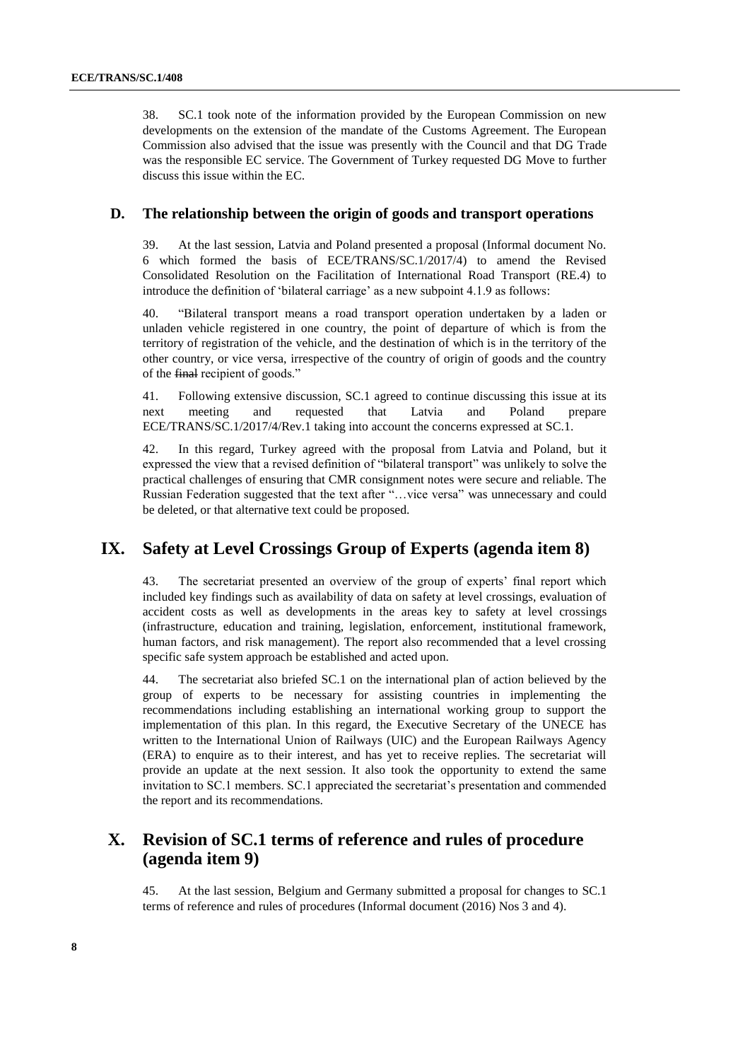38. SC.1 took note of the information provided by the European Commission on new developments on the extension of the mandate of the Customs Agreement. The European Commission also advised that the issue was presently with the Council and that DG Trade was the responsible EC service. The Government of Turkey requested DG Move to further discuss this issue within the EC.

#### **D. The relationship between the origin of goods and transport operations**

39. At the last session, Latvia and Poland presented a proposal (Informal document No. 6 which formed the basis of ECE/TRANS/SC.1/2017/4) to amend the Revised Consolidated Resolution on the Facilitation of International Road Transport (RE.4) to introduce the definition of 'bilateral carriage' as a new subpoint 4.1.9 as follows:

40. "Bilateral transport means a road transport operation undertaken by a laden or unladen vehicle registered in one country, the point of departure of which is from the territory of registration of the vehicle, and the destination of which is in the territory of the other country, or vice versa, irrespective of the country of origin of goods and the country of the final recipient of goods."

41. Following extensive discussion, SC.1 agreed to continue discussing this issue at its next meeting and requested that Latvia and Poland prepare ECE/TRANS/SC.1/2017/4/Rev.1 taking into account the concerns expressed at SC.1.

42. In this regard, Turkey agreed with the proposal from Latvia and Poland, but it expressed the view that a revised definition of "bilateral transport" was unlikely to solve the practical challenges of ensuring that CMR consignment notes were secure and reliable. The Russian Federation suggested that the text after "…vice versa" was unnecessary and could be deleted, or that alternative text could be proposed.

### **IX. Safety at Level Crossings Group of Experts (agenda item 8)**

43. The secretariat presented an overview of the group of experts' final report which included key findings such as availability of data on safety at level crossings, evaluation of accident costs as well as developments in the areas key to safety at level crossings (infrastructure, education and training, legislation, enforcement, institutional framework, human factors, and risk management). The report also recommended that a level crossing specific safe system approach be established and acted upon.

44. The secretariat also briefed SC.1 on the international plan of action believed by the group of experts to be necessary for assisting countries in implementing the recommendations including establishing an international working group to support the implementation of this plan. In this regard, the Executive Secretary of the UNECE has written to the International Union of Railways (UIC) and the European Railways Agency (ERA) to enquire as to their interest, and has yet to receive replies. The secretariat will provide an update at the next session. It also took the opportunity to extend the same invitation to SC.1 members. SC.1 appreciated the secretariat's presentation and commended the report and its recommendations.

# **X. Revision of SC.1 terms of reference and rules of procedure (agenda item 9)**

45. At the last session, Belgium and Germany submitted a proposal for changes to SC.1 terms of reference and rules of procedures (Informal document (2016) Nos 3 and 4).